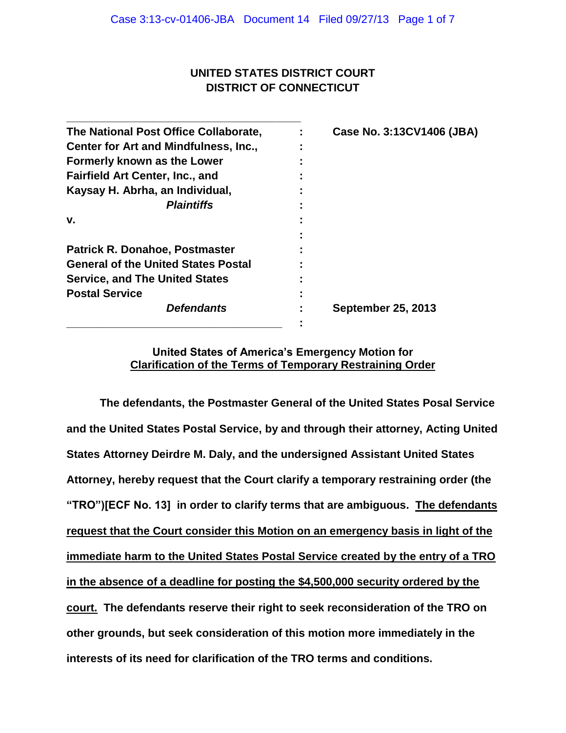## **UNITED STATES DISTRICT COURT DISTRICT OF CONNECTICUT**

| Case No. 3:13CV1406 (JBA) |
|---------------------------|
|                           |
|                           |
|                           |
|                           |
|                           |
|                           |
|                           |
|                           |
|                           |
|                           |
|                           |
| <b>September 25, 2013</b> |
|                           |
|                           |

### **United States of America's Emergency Motion for Clarification of the Terms of Temporary Restraining Order**

**The defendants, the Postmaster General of the United States Posal Service and the United States Postal Service, by and through their attorney, Acting United States Attorney Deirdre M. Daly, and the undersigned Assistant United States Attorney, hereby request that the Court clarify a temporary restraining order (the "TRO")[ECF No. 13] in order to clarify terms that are ambiguous. The defendants request that the Court consider this Motion on an emergency basis in light of the immediate harm to the United States Postal Service created by the entry of a TRO in the absence of a deadline for posting the \$4,500,000 security ordered by the court. The defendants reserve their right to seek reconsideration of the TRO on other grounds, but seek consideration of this motion more immediately in the interests of its need for clarification of the TRO terms and conditions.**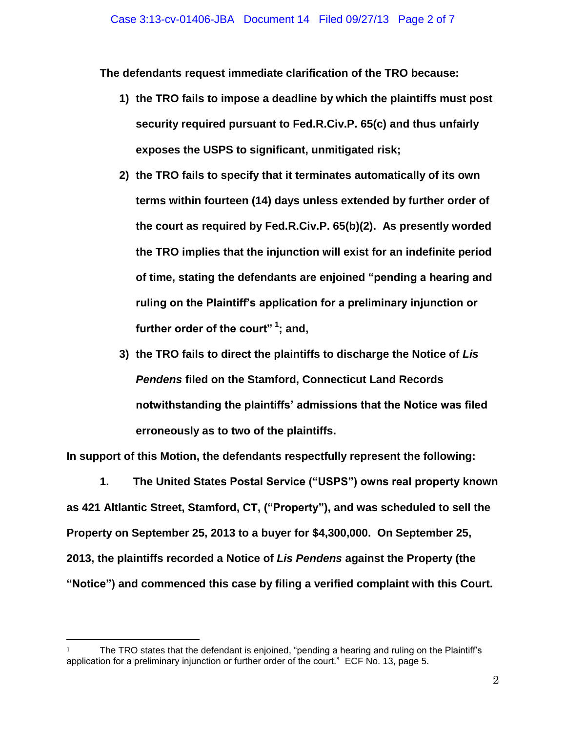**The defendants request immediate clarification of the TRO because:** 

- **1) the TRO fails to impose a deadline by which the plaintiffs must post security required pursuant to Fed.R.Civ.P. 65(c) and thus unfairly exposes the USPS to significant, unmitigated risk;**
- **2) the TRO fails to specify that it terminates automatically of its own terms within fourteen (14) days unless extended by further order of the court as required by Fed.R.Civ.P. 65(b)(2). As presently worded the TRO implies that the injunction will exist for an indefinite period of time, stating the defendants are enjoined "pending a hearing and ruling on the Plaintiff's application for a preliminary injunction or further order of the court" <sup>1</sup> ; and,**
- **3) the TRO fails to direct the plaintiffs to discharge the Notice of** *Lis Pendens* **filed on the Stamford, Connecticut Land Records notwithstanding the plaintiffs' admissions that the Notice was filed erroneously as to two of the plaintiffs.**

**In support of this Motion, the defendants respectfully represent the following:**

**1. The United States Postal Service ("USPS") owns real property known as 421 Altlantic Street, Stamford, CT, ("Property"), and was scheduled to sell the Property on September 25, 2013 to a buyer for \$4,300,000. On September 25, 2013, the plaintiffs recorded a Notice of** *Lis Pendens* **against the Property (the "Notice") and commenced this case by filing a verified complaint with this Court.** 

l

The TRO states that the defendant is enjoined, "pending a hearing and ruling on the Plaintiff's application for a preliminary injunction or further order of the court." ECF No. 13, page 5.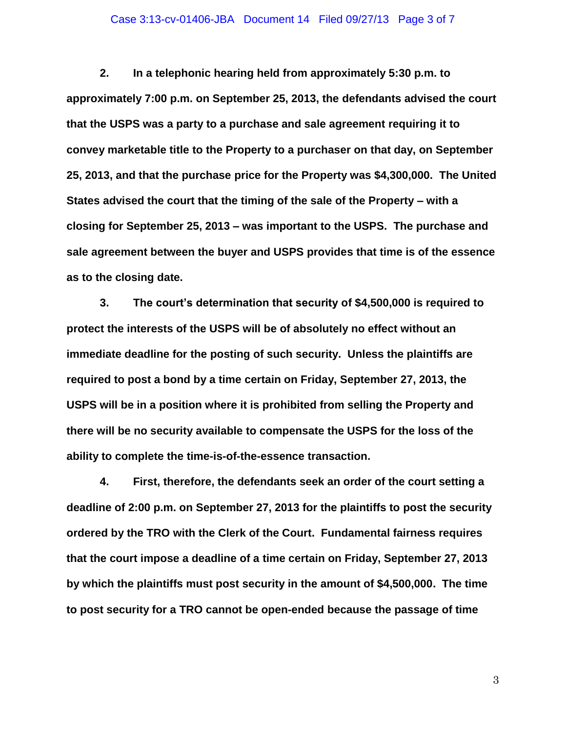### Case 3:13-cv-01406-JBA Document 14 Filed 09/27/13 Page 3 of 7

**2. In a telephonic hearing held from approximately 5:30 p.m. to approximately 7:00 p.m. on September 25, 2013, the defendants advised the court that the USPS was a party to a purchase and sale agreement requiring it to convey marketable title to the Property to a purchaser on that day, on September 25, 2013, and that the purchase price for the Property was \$4,300,000. The United States advised the court that the timing of the sale of the Property – with a closing for September 25, 2013 – was important to the USPS. The purchase and sale agreement between the buyer and USPS provides that time is of the essence as to the closing date.**

**3. The court's determination that security of \$4,500,000 is required to protect the interests of the USPS will be of absolutely no effect without an immediate deadline for the posting of such security. Unless the plaintiffs are required to post a bond by a time certain on Friday, September 27, 2013, the USPS will be in a position where it is prohibited from selling the Property and there will be no security available to compensate the USPS for the loss of the ability to complete the time-is-of-the-essence transaction.**

**4. First, therefore, the defendants seek an order of the court setting a deadline of 2:00 p.m. on September 27, 2013 for the plaintiffs to post the security ordered by the TRO with the Clerk of the Court. Fundamental fairness requires that the court impose a deadline of a time certain on Friday, September 27, 2013 by which the plaintiffs must post security in the amount of \$4,500,000. The time to post security for a TRO cannot be open-ended because the passage of time** 

3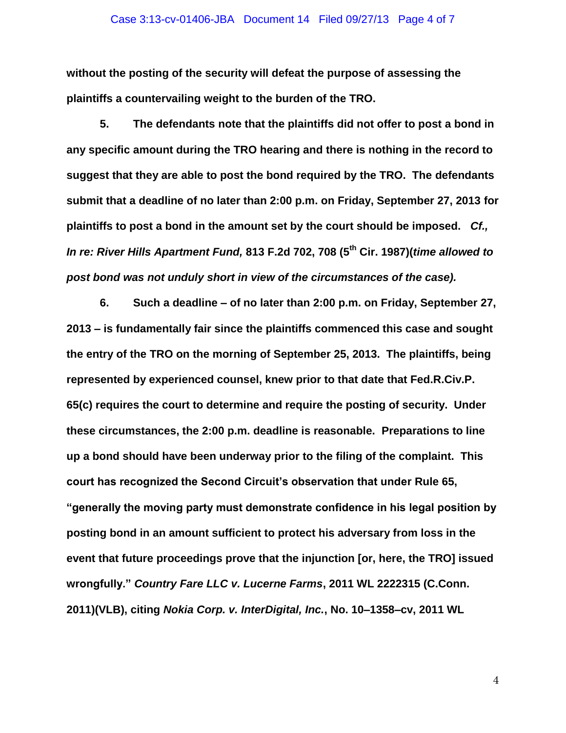#### Case 3:13-cv-01406-JBA Document 14 Filed 09/27/13 Page 4 of 7

**without the posting of the security will defeat the purpose of assessing the plaintiffs a countervailing weight to the burden of the TRO.**

**5. The defendants note that the plaintiffs did not offer to post a bond in any specific amount during the TRO hearing and there is nothing in the record to suggest that they are able to post the bond required by the TRO. The defendants submit that a deadline of no later than 2:00 p.m. on Friday, September 27, 2013 for plaintiffs to post a bond in the amount set by the court should be imposed.** *Cf., In re: River Hills Apartment Fund,* **813 F.2d 702, 708 (5th Cir. 1987)(***time allowed to post bond was not unduly short in view of the circumstances of the case).*

**6. Such a deadline – of no later than 2:00 p.m. on Friday, September 27, 2013 – is fundamentally fair since the plaintiffs commenced this case and sought the entry of the TRO on the morning of September 25, 2013. The plaintiffs, being represented by experienced counsel, knew prior to that date that Fed.R.Civ.P. 65(c) requires the court to determine and require the posting of security. Under these circumstances, the 2:00 p.m. deadline is reasonable. Preparations to line up a bond should have been underway prior to the filing of the complaint. This court has recognized the Second Circuit's observation that under Rule 65, "generally the moving party must demonstrate confidence in his legal position by posting bond in an amount sufficient to protect his adversary from loss in the event that future proceedings prove that the injunction [or, here, the TRO] issued wrongfully."** *Country Fare LLC v. Lucerne Farms***, 2011 WL 2222315 (C.Conn. 2011)(VLB), citing** *Nokia Corp. v. InterDigital, Inc.***, No. 10–1358–cv, 2011 WL** 

4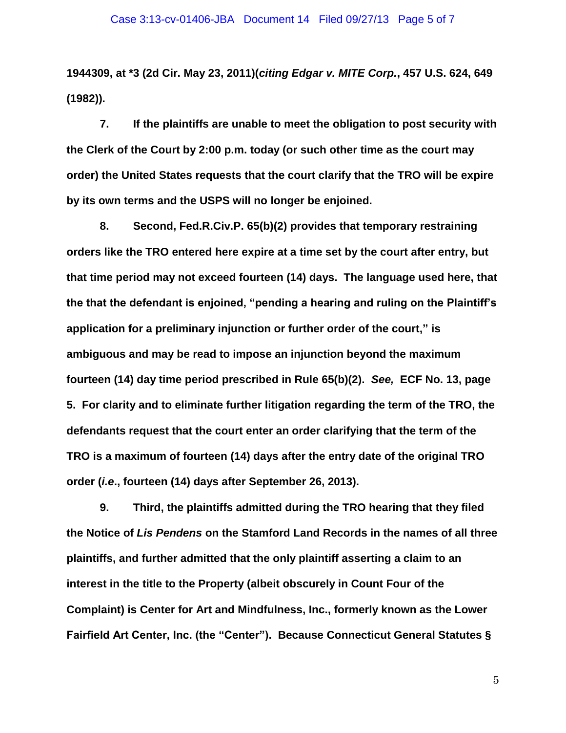**1944309, at \*3 (2d Cir. May 23, 2011)(***citing Edgar v. MITE Corp.***, 457 U.S. 624, 649 (1982)).** 

**7. If the plaintiffs are unable to meet the obligation to post security with the Clerk of the Court by 2:00 p.m. today (or such other time as the court may order) the United States requests that the court clarify that the TRO will be expire by its own terms and the USPS will no longer be enjoined.**

**8. Second, Fed.R.Civ.P. 65(b)(2) provides that temporary restraining orders like the TRO entered here expire at a time set by the court after entry, but that time period may not exceed fourteen (14) days. The language used here, that the that the defendant is enjoined, "pending a hearing and ruling on the Plaintiff's application for a preliminary injunction or further order of the court," is ambiguous and may be read to impose an injunction beyond the maximum fourteen (14) day time period prescribed in Rule 65(b)(2).** *See,* **ECF No. 13, page 5. For clarity and to eliminate further litigation regarding the term of the TRO, the defendants request that the court enter an order clarifying that the term of the TRO is a maximum of fourteen (14) days after the entry date of the original TRO order (***i.e***., fourteen (14) days after September 26, 2013).**

**9. Third, the plaintiffs admitted during the TRO hearing that they filed the Notice of** *Lis Pendens* **on the Stamford Land Records in the names of all three plaintiffs, and further admitted that the only plaintiff asserting a claim to an interest in the title to the Property (albeit obscurely in Count Four of the Complaint) is Center for Art and Mindfulness, Inc., formerly known as the Lower Fairfield Art Center, Inc. (the "Center"). Because Connecticut General Statutes §** 

5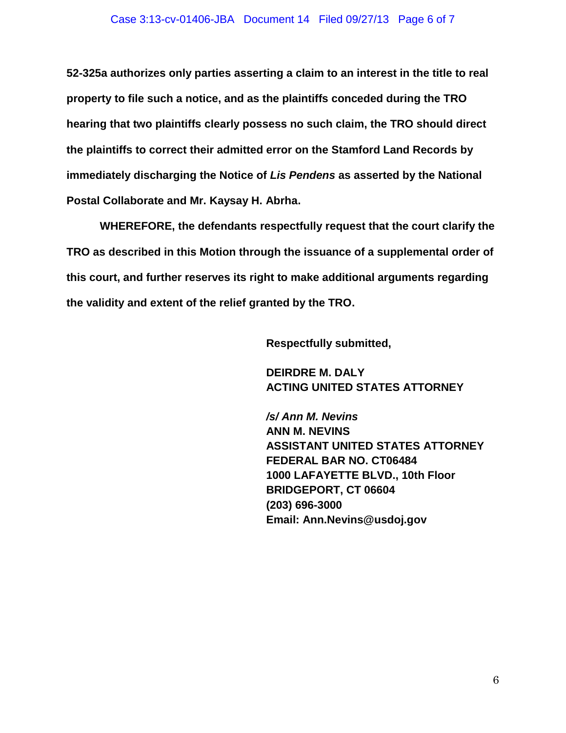### Case 3:13-cv-01406-JBA Document 14 Filed 09/27/13 Page 6 of 7

**52-325a authorizes only parties asserting a claim to an interest in the title to real property to file such a notice, and as the plaintiffs conceded during the TRO hearing that two plaintiffs clearly possess no such claim, the TRO should direct the plaintiffs to correct their admitted error on the Stamford Land Records by immediately discharging the Notice of** *Lis Pendens* **as asserted by the National Postal Collaborate and Mr. Kaysay H. Abrha.** 

**WHEREFORE, the defendants respectfully request that the court clarify the TRO as described in this Motion through the issuance of a supplemental order of this court, and further reserves its right to make additional arguments regarding the validity and extent of the relief granted by the TRO.**

**Respectfully submitted,**

**DEIRDRE M. DALY ACTING UNITED STATES ATTORNEY**

*/s/ Ann M. Nevins* **ANN M. NEVINS ASSISTANT UNITED STATES ATTORNEY FEDERAL BAR NO. CT06484 1000 LAFAYETTE BLVD., 10th Floor BRIDGEPORT, CT 06604 (203) 696-3000 Email: Ann.Nevins@usdoj.gov**